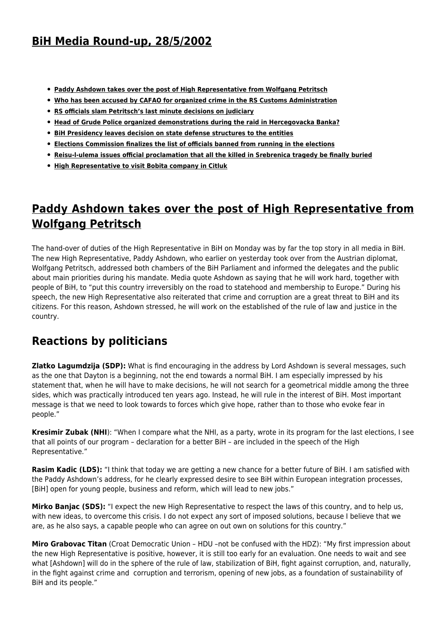## **[BiH Media Round-up, 28/5/2002](http://www.ohr.int/ohr_archive/bih-media-round-up-2852002/)**

- **[Paddy Ashdown takes over the post of High Representative from Wolfgang Petritsch](#page-0-0)**
- **[Who has been accused by CAFAO for organized crime in the RS Customs Administration](#page--1-0)**
- **[RS officials slam Petritsch's last minute decisions on judiciary](#page-3-0)**
- **[Head of Grude Police organized demonstrations during the raid in Hercegovacka Banka?](#page-4-0)**
- **[BiH Presidency leaves decision on state defense structures to the entities](#page-5-0)**
- **[Elections Commission finalizes the list of officials banned from running in the elections](#page--1-0)**
- **[Reisu-l-ulema issues official proclamation that all the killed in Srebrenica tragedy be finally buried](#page-5-1)**
- **[High Representative to visit Bobita company in Citluk](#page-6-0)**

## <span id="page-0-0"></span>**Paddy Ashdown takes over the post of High Representative from Wolfgang Petritsch**

The hand-over of duties of the High Representative in BiH on Monday was by far the top story in all media in BiH. The new High Representative, Paddy Ashdown, who earlier on yesterday took over from the Austrian diplomat, Wolfgang Petritsch, addressed both chambers of the BiH Parliament and informed the delegates and the public about main priorities during his mandate. Media quote Ashdown as saying that he will work hard, together with people of BiH, to "put this country irreversibly on the road to statehood and membership to Europe." During his speech, the new High Representative also reiterated that crime and corruption are a great threat to BiH and its citizens. For this reason, Ashdown stressed, he will work on the established of the rule of law and justice in the country.

### **Reactions by politicians**

**Zlatko Lagumdzija (SDP):** What is find encouraging in the address by Lord Ashdown is several messages, such as the one that Dayton is a beginning, not the end towards a normal BiH. I am especially impressed by his statement that, when he will have to make decisions, he will not search for a geometrical middle among the three sides, which was practically introduced ten years ago. Instead, he will rule in the interest of BiH. Most important message is that we need to look towards to forces which give hope, rather than to those who evoke fear in people."

**Kresimir Zubak (NHI**): "When I compare what the NHI, as a party, wrote in its program for the last elections, I see that all points of our program – declaration for a better BiH – are included in the speech of the High Representative."

**Rasim Kadic (LDS):** "I think that today we are getting a new chance for a better future of BiH. I am satisfied with the Paddy Ashdown's address, for he clearly expressed desire to see BiH within European integration processes, [BiH] open for young people, business and reform, which will lead to new jobs."

**Mirko Banjac (SDS):** "I expect the new High Representative to respect the laws of this country, and to help us, with new ideas, to overcome this crisis. I do not expect any sort of imposed solutions, because I believe that we are, as he also says, a capable people who can agree on out own on solutions for this country."

**Miro Grabovac Titan** (Croat Democratic Union – HDU –not be confused with the HDZ): "My first impression about the new High Representative is positive, however, it is still too early for an evaluation. One needs to wait and see what [Ashdown] will do in the sphere of the rule of law, stabilization of BiH, fight against corruption, and, naturally, in the fight against crime and corruption and terrorism, opening of new jobs, as a foundation of sustainability of BiH and its people."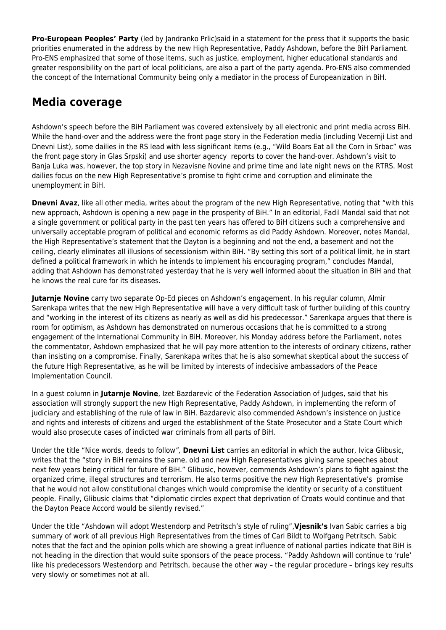**Pro-European Peoples' Party** (led by Jandranko Prlic)said in a statement for the press that it supports the basic priorities enumerated in the address by the new High Representative, Paddy Ashdown, before the BiH Parliament. Pro-ENS emphasized that some of those items, such as justice, employment, higher educational standards and greater responsibility on the part of local politicians, are also a part of the party agenda. Pro-ENS also commended the concept of the International Community being only a mediator in the process of Europeanization in BiH.

## **Media coverage**

Ashdown's speech before the BiH Parliament was covered extensively by all electronic and print media across BiH. While the hand-over and the address were the front page story in the Federation media (including Vecernji List and Dnevni List), some dailies in the RS lead with less significant items (e.g., "Wild Boars Eat all the Corn in Srbac" was the front page story in Glas Srpski) and use shorter agency reports to cover the hand-over. Ashdown's visit to Banja Luka was, however, the top story in Nezavisne Novine and prime time and late night news on the RTRS. Most dailies focus on the new High Representative's promise to fight crime and corruption and eliminate the unemployment in BiH.

**Dnevni Avaz**, like all other media, writes about the program of the new High Representative, noting that "with this new approach, Ashdown is opening a new page in the prosperity of BiH." In an editorial, Fadil Mandal said that not a single government or political party in the past ten years has offered to BiH citizens such a comprehensive and universally acceptable program of political and economic reforms as did Paddy Ashdown. Moreover, notes Mandal, the High Representative's statement that the Dayton is a beginning and not the end, a basement and not the ceiling, clearly eliminates all illusions of secessionism within BiH. "By setting this sort of a political limit, he in start defined a political framework in which he intends to implement his encouraging program," concludes Mandal, adding that Ashdown has demonstrated yesterday that he is very well informed about the situation in BiH and that he knows the real cure for its diseases.

**Jutarnje Novine** carry two separate Op-Ed pieces on Ashdown's engagement. In his regular column, Almir Sarenkapa writes that the new High Representative will have a very difficult task of further building of this country and "working in the interest of its citizens as nearly as well as did his predecessor." Sarenkapa argues that there is room for optimism, as Ashdown has demonstrated on numerous occasions that he is committed to a strong engagement of the International Community in BiH. Moreover, his Monday address before the Parliament, notes the commentator, Ashdown emphasized that he will pay more attention to the interests of ordinary citizens, rather than insisting on a compromise. Finally, Sarenkapa writes that he is also somewhat skeptical about the success of the future High Representative, as he will be limited by interests of indecisive ambassadors of the Peace Implementation Council.

In a guest column in **Jutarnje Novine**, Izet Bazdarevic of the Federation Association of Judges, said that his association will strongly support the new High Representative, Paddy Ashdown, in implementing the reform of judiciary and establishing of the rule of law in BiH. Bazdarevic also commended Ashdown's insistence on justice and rights and interests of citizens and urged the establishment of the State Prosecutor and a State Court which would also prosecute cases of indicted war criminals from all parts of BiH.

Under the title "Nice words, deeds to follow", **Dnevni List** carries an editorial in which the author, Ivica Glibusic, writes that the "story in BiH remains the same, old and new High Representatives giving same speeches about next few years being critical for future of BiH." Glibusic, however, commends Ashdown's plans to fight against the organized crime, illegal structures and terrorism. He also terms positive the new High Representative's promise that he would not allow constitutional changes which would compromise the identity or security of a constituent people. Finally, Glibusic claims that "diplomatic circles expect that deprivation of Croats would continue and that the Dayton Peace Accord would be silently revised."

Under the title "Ashdown will adopt Westendorp and Petritsch's style of ruling",**Vjesnik's** Ivan Sabic carries a big summary of work of all previous High Representatives from the times of Carl Bildt to Wolfgang Petritsch. Sabic notes that the fact and the opinion polls which are showing a great influence of national parties indicate that BiH is not heading in the direction that would suite sponsors of the peace process. "Paddy Ashdown will continue to 'rule' like his predecessors Westendorp and Petritsch, because the other way – the regular procedure – brings key results very slowly or sometimes not at all.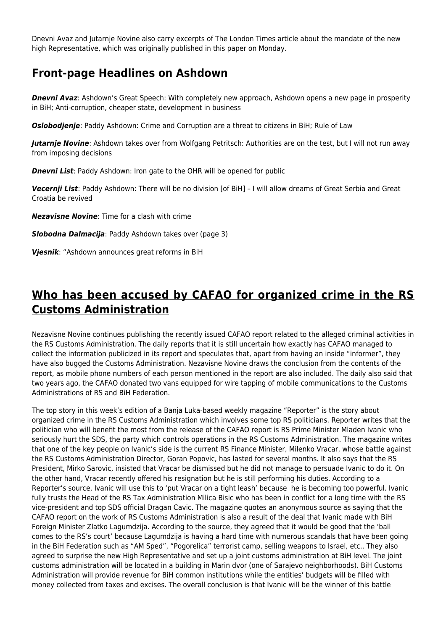Dnevni Avaz and Jutarnje Novine also carry excerpts of The London Times article about the mandate of the new high Representative, which was originally published in this paper on Monday.

#### **Front-page Headlines on Ashdown**

**Dnevni Avaz**: Ashdown's Great Speech: With completely new approach, Ashdown opens a new page in prosperity in BiH; Anti-corruption, cheaper state, development in business

*Oslobodjenje*: Paddy Ashdown: Crime and Corruption are a threat to citizens in BiH; Rule of Law

*Jutarnje Novine*: Ashdown takes over from Wolfgang Petritsch: Authorities are on the test, but I will not run away from imposing decisions

*Dnevni List*: Paddy Ashdown: Iron gate to the OHR will be opened for public

*Vecernji List*: Paddy Ashdown: There will be no division [of BiH] – I will allow dreams of Great Serbia and Great Croatia be revived

*Nezavisne Novine*: Time for a clash with crime

*Slobodna Dalmacija*: Paddy Ashdown takes over (page 3)

*Vjesnik*: "Ashdown announces great reforms in BiH

## **Who has been accused by CAFAO for organized crime in the RS Customs Administration**

Nezavisne Novine continues publishing the recently issued CAFAO report related to the alleged criminal activities in the RS Customs Administration. The daily reports that it is still uncertain how exactly has CAFAO managed to collect the information publicized in its report and speculates that, apart from having an inside "informer", they have also bugged the Customs Administration. Nezavisne Novine draws the conclusion from the contents of the report, as mobile phone numbers of each person mentioned in the report are also included. The daily also said that two years ago, the CAFAO donated two vans equipped for wire tapping of mobile communications to the Customs Administrations of RS and BiH Federation.

The top story in this week's edition of a Banja Luka-based weekly magazine "Reporter" is the story about organized crime in the RS Customs Administration which involves some top RS politicians. Reporter writes that the politician who will benefit the most from the release of the CAFAO report is RS Prime Minister Mladen Ivanic who seriously hurt the SDS, the party which controls operations in the RS Customs Administration. The magazine writes that one of the key people on Ivanic's side is the current RS Finance Minister, Milenko Vracar, whose battle against the RS Customs Administration Director, Goran Popovic, has lasted for several months. It also says that the RS President, Mirko Sarovic, insisted that Vracar be dismissed but he did not manage to persuade Ivanic to do it. On the other hand, Vracar recently offered his resignation but he is still performing his duties. According to a Reporter's source, Ivanic will use this to 'put Vracar on a tight leash' because he is becoming too powerful. Ivanic fully trusts the Head of the RS Tax Administration Milica Bisic who has been in conflict for a long time with the RS vice-president and top SDS official Dragan Cavic. The magazine quotes an anonymous source as saying that the CAFAO report on the work of RS Customs Administration is also a result of the deal that Ivanic made with BiH Foreign Minister Zlatko Lagumdzija. According to the source, they agreed that it would be good that the 'ball comes to the RS's court' because Lagumdzija is having a hard time with numerous scandals that have been going in the BiH Federation such as "AM Sped", "Pogorelica" terrorist camp, selling weapons to Israel, etc.. They also agreed to surprise the new High Representative and set up a joint customs administration at BiH level. The joint customs administration will be located in a building in Marin dvor (one of Sarajevo neighborhoods). BiH Customs Administration will provide revenue for BiH common institutions while the entities' budgets will be filled with money collected from taxes and excises. The overall conclusion is that Ivanic will be the winner of this battle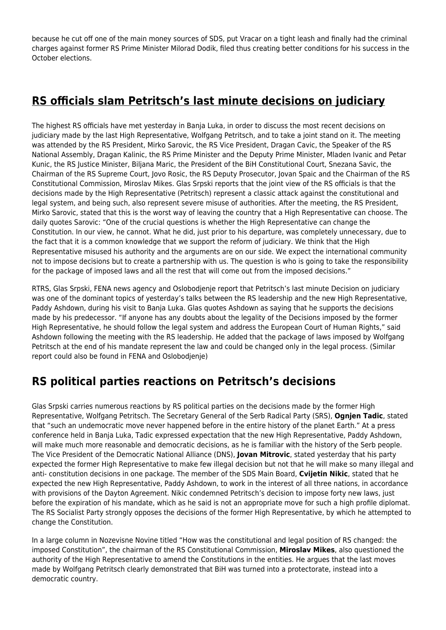because he cut off one of the main money sources of SDS, put Vracar on a tight leash and finally had the criminal charges against former RS Prime Minister Milorad Dodik, filed thus creating better conditions for his success in the October elections.

# <span id="page-3-0"></span>**RS officials slam Petritsch's last minute decisions on judiciary**

The highest RS officials have met yesterday in Banja Luka, in order to discuss the most recent decisions on judiciary made by the last High Representative, Wolfgang Petritsch, and to take a joint stand on it. The meeting was attended by the RS President, Mirko Sarovic, the RS Vice President, Dragan Cavic, the Speaker of the RS National Assembly, Dragan Kalinic, the RS Prime Minister and the Deputy Prime Minister, Mladen Ivanic and Petar Kunic, the RS Justice Minister, Biljana Maric, the President of the BiH Constitutional Court, Snezana Savic, the Chairman of the RS Supreme Court, Jovo Rosic, the RS Deputy Prosecutor, Jovan Spaic and the Chairman of the RS Constitutional Commission, Miroslav Mikes. Glas Srpski reports that the joint view of the RS officials is that the decisions made by the High Representative (Petritsch) represent a classic attack against the constitutional and legal system, and being such, also represent severe misuse of authorities. After the meeting, the RS President, Mirko Sarovic, stated that this is the worst way of leaving the country that a High Representative can choose. The daily quotes Sarovic: "One of the crucial questions is whether the High Representative can change the Constitution. In our view, he cannot. What he did, just prior to his departure, was completely unnecessary, due to the fact that it is a common knowledge that we support the reform of judiciary. We think that the High Representative misused his authority and the arguments are on our side. We expect the international community not to impose decisions but to create a partnership with us. The question is who is going to take the responsibility for the package of imposed laws and all the rest that will come out from the imposed decisions."

RTRS, Glas Srpski, FENA news agency and Oslobodjenje report that Petritsch's last minute Decision on judiciary was one of the dominant topics of yesterday's talks between the RS leadership and the new High Representative, Paddy Ashdown, during his visit to Banja Luka. Glas quotes Ashdown as saying that he supports the decisions made by his predecessor. "If anyone has any doubts about the legality of the Decisions imposed by the former High Representative, he should follow the legal system and address the European Court of Human Rights," said Ashdown following the meeting with the RS leadership. He added that the package of laws imposed by Wolfgang Petritsch at the end of his mandate represent the law and could be changed only in the legal process. (Similar report could also be found in FENA and Oslobodjenje)

## **RS political parties reactions on Petritsch's decisions**

Glas Srpski carries numerous reactions by RS political parties on the decisions made by the former High Representative, Wolfgang Petritsch. The Secretary General of the Serb Radical Party (SRS), **Ognjen Tadic**, stated that "such an undemocratic move never happened before in the entire history of the planet Earth." At a press conference held in Banja Luka, Tadic expressed expectation that the new High Representative, Paddy Ashdown, will make much more reasonable and democratic decisions, as he is familiar with the history of the Serb people. The Vice President of the Democratic National Alliance (DNS), **Jovan Mitrovic**, stated yesterday that his party expected the former High Representative to make few illegal decision but not that he will make so many illegal and anti- constitution decisions in one package. The member of the SDS Main Board, **Cvijetin Nikic**, stated that he expected the new High Representative, Paddy Ashdown, to work in the interest of all three nations, in accordance with provisions of the Dayton Agreement. Nikic condemned Petritsch's decision to impose forty new laws, just before the expiration of his mandate, which as he said is not an appropriate move for such a high profile diplomat. The RS Socialist Party strongly opposes the decisions of the former High Representative, by which he attempted to change the Constitution.

In a large column in Nozevisne Novine titled "How was the constitutional and legal position of RS changed: the imposed Constitution", the chairman of the RS Constitutional Commission, **Miroslav Mikes**, also questioned the authority of the High Representative to amend the Constitutions in the entities. He argues that the last moves made by Wolfgang Petritsch clearly demonstrated that BiH was turned into a protectorate, instead into a democratic country.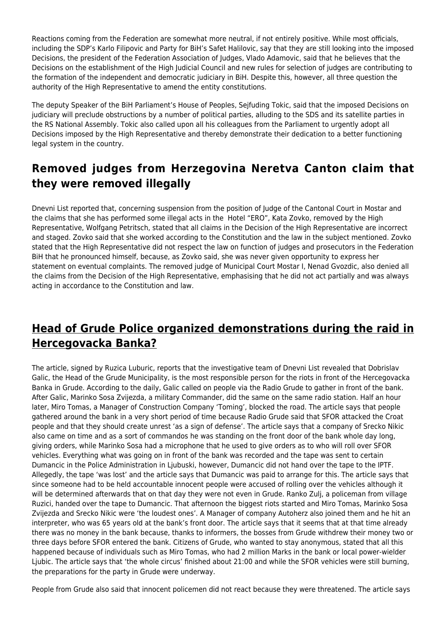Reactions coming from the Federation are somewhat more neutral, if not entirely positive. While most officials, including the SDP's Karlo Filipovic and Party for BiH's Safet Halilovic, say that they are still looking into the imposed Decisions, the president of the Federation Association of Judges, Vlado Adamovic, said that he believes that the Decisions on the establishment of the High Judicial Council and new rules for selection of judges are contributing to the formation of the independent and democratic judiciary in BiH. Despite this, however, all three question the authority of the High Representative to amend the entity constitutions.

The deputy Speaker of the BiH Parliament's House of Peoples, Sejfuding Tokic, said that the imposed Decisions on judiciary will preclude obstructions by a number of political parties, alluding to the SDS and its satellite parties in the RS National Assembly. Tokic also called upon all his colleagues from the Parliament to urgently adopt all Decisions imposed by the High Representative and thereby demonstrate their dedication to a better functioning legal system in the country.

## **Removed judges from Herzegovina Neretva Canton claim that they were removed illegally**

Dnevni List reported that, concerning suspension from the position of Judge of the Cantonal Court in Mostar and the claims that she has performed some illegal acts in the Hotel "ERO", Kata Zovko, removed by the High Representative, Wolfgang Petritsch, stated that all claims in the Decision of the High Representative are incorrect and staged. Zovko said that she worked according to the Constitution and the law in the subject mentioned. Zovko stated that the High Representative did not respect the law on function of judges and prosecutors in the Federation BiH that he pronounced himself, because, as Zovko said, she was never given opportunity to express her statement on eventual complaints. The removed judge of Municipal Court Mostar I, Nenad Gvozdic, also denied all the claims from the Decision of the High Representative, emphasising that he did not act partially and was always acting in accordance to the Constitution and law.

## <span id="page-4-0"></span>**Head of Grude Police organized demonstrations during the raid in Hercegovacka Banka?**

The article, signed by Ruzica Luburic, reports that the investigative team of Dnevni List revealed that Dobrislav Galic, the Head of the Grude Municipality, is the most responsible person for the riots in front of the Hercegovacka Banka in Grude. According to the daily, Galic called on people via the Radio Grude to gather in front of the bank. After Galic, Marinko Sosa Zvijezda, a military Commander, did the same on the same radio station. Half an hour later, Miro Tomas, a Manager of Construction Company 'Toming', blocked the road. The article says that people gathered around the bank in a very short period of time because Radio Grude said that SFOR attacked the Croat people and that they should create unrest 'as a sign of defense'. The article says that a company of Srecko Nikic also came on time and as a sort of commandos he was standing on the front door of the bank whole day long, giving orders, while Marinko Sosa had a microphone that he used to give orders as to who will roll over SFOR vehicles. Everything what was going on in front of the bank was recorded and the tape was sent to certain Dumancic in the Police Administration in Ljubuski, however, Dumancic did not hand over the tape to the IPTF. Allegedly, the tape 'was lost' and the article says that Dumancic was paid to arrange for this. The article says that since someone had to be held accountable innocent people were accused of rolling over the vehicles although it will be determined afterwards that on that day they were not even in Grude. Ranko Zulj, a policeman from village Ruzici, handed over the tape to Dumancic. That afternoon the biggest riots started and Miro Tomas, Marinko Sosa Zvijezda and Srecko Nikic were 'the loudest ones'. A Manager of company Autoherz also joined them and he hit an interpreter, who was 65 years old at the bank's front door. The article says that it seems that at that time already there was no money in the bank because, thanks to informers, the bosses from Grude withdrew their money two or three days before SFOR entered the bank. Citizens of Grude, who wanted to stay anonymous, stated that all this happened because of individuals such as Miro Tomas, who had 2 million Marks in the bank or local power-wielder Ljubic. The article says that 'the whole circus' finished about 21:00 and while the SFOR vehicles were still burning, the preparations for the party in Grude were underway.

People from Grude also said that innocent policemen did not react because they were threatened. The article says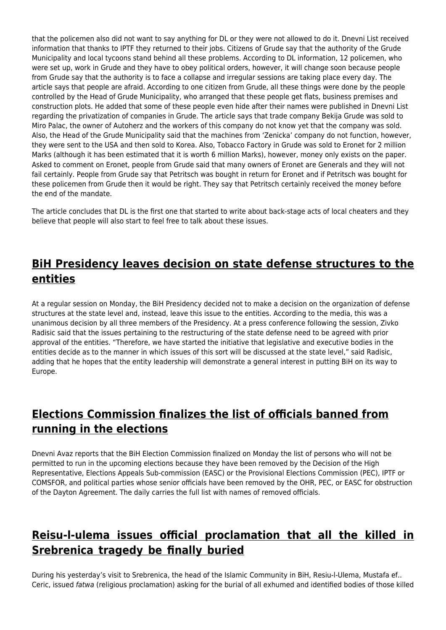that the policemen also did not want to say anything for DL or they were not allowed to do it. Dnevni List received information that thanks to IPTF they returned to their jobs. Citizens of Grude say that the authority of the Grude Municipality and local tycoons stand behind all these problems. According to DL information, 12 policemen, who were set up, work in Grude and they have to obey political orders, however, it will change soon because people from Grude say that the authority is to face a collapse and irregular sessions are taking place every day. The article says that people are afraid. According to one citizen from Grude, all these things were done by the people controlled by the Head of Grude Municipality, who arranged that these people get flats, business premises and construction plots. He added that some of these people even hide after their names were published in Dnevni List regarding the privatization of companies in Grude. The article says that trade company Bekija Grude was sold to Miro Palac, the owner of Autoherz and the workers of this company do not know yet that the company was sold. Also, the Head of the Grude Municipality said that the machines from 'Zenicka' company do not function, however, they were sent to the USA and then sold to Korea. Also, Tobacco Factory in Grude was sold to Eronet for 2 million Marks (although it has been estimated that it is worth 6 million Marks), however, money only exists on the paper. Asked to comment on Eronet, people from Grude said that many owners of Eronet are Generals and they will not fail certainly. People from Grude say that Petritsch was bought in return for Eronet and if Petritsch was bought for these policemen from Grude then it would be right. They say that Petritsch certainly received the money before the end of the mandate.

The article concludes that DL is the first one that started to write about back-stage acts of local cheaters and they believe that people will also start to feel free to talk about these issues.

#### <span id="page-5-0"></span>**BiH Presidency leaves decision on state defense structures to the entities**

At a regular session on Monday, the BiH Presidency decided not to make a decision on the organization of defense structures at the state level and, instead, leave this issue to the entities. According to the media, this was a unanimous decision by all three members of the Presidency. At a press conference following the session, Zivko Radisic said that the issues pertaining to the restructuring of the state defense need to be agreed with prior approval of the entities. "Therefore, we have started the initiative that legislative and executive bodies in the entities decide as to the manner in which issues of this sort will be discussed at the state level," said Radisic, adding that he hopes that the entity leadership will demonstrate a general interest in putting BiH on its way to Europe.

## **Elections Commission finalizes the list of officials banned from running in the elections**

Dnevni Avaz reports that the BiH Election Commission finalized on Monday the list of persons who will not be permitted to run in the upcoming elections because they have been removed by the Decision of the High Representative, Elections Appeals Sub-commission (EASC) or the Provisional Elections Commission (PEC), IPTF or COMSFOR, and political parties whose senior officials have been removed by the OHR, PEC, or EASC for obstruction of the Dayton Agreement. The daily carries the full list with names of removed officials.

# <span id="page-5-1"></span>**Reisu-l-ulema issues official proclamation that all the killed in Srebrenica tragedy be finally buried**

During his yesterday's visit to Srebrenica, the head of the Islamic Community in BiH, Resiu-l-Ulema, Mustafa ef.. Ceric, issued fatwa (religious proclamation) asking for the burial of all exhumed and identified bodies of those killed